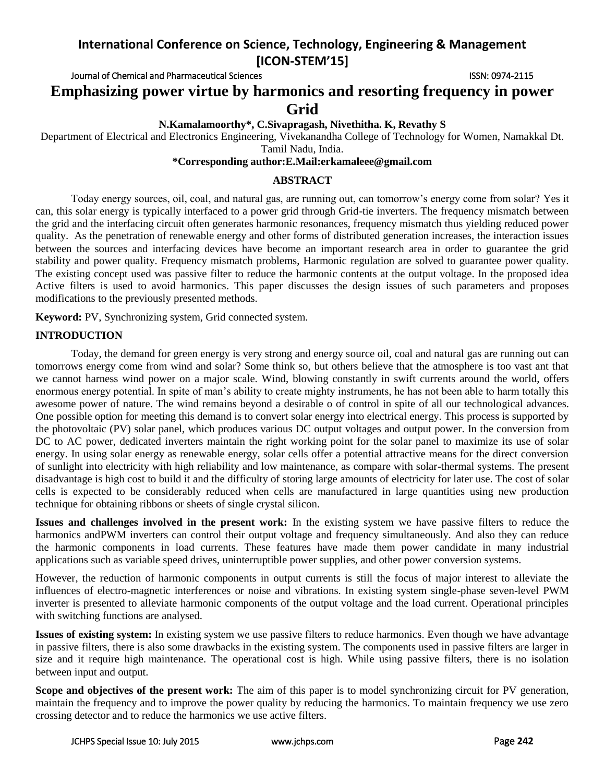Journal of Chemical and Pharmaceutical Sciences **ISSN: 0974-2115** ISSN: 0974-2115

**Emphasizing power virtue by harmonics and resorting frequency in power Grid** 

**N.Kamalamoorthy\*, C.Sivapragash, Nivethitha. K, Revathy S**

Department of Electrical and Electronics Engineering, Vivekanandha College of Technology for Women, Namakkal Dt. Tamil Nadu, India.

#### **\*Corresponding author:E.Mail:erkamaleee@gmail.com**

## **ABSTRACT**

Today energy sources, oil, coal, and natural gas, are running out, can tomorrow's energy come from solar? Yes it can, this solar energy is typically interfaced to a power grid through Grid-tie inverters. The frequency mismatch between the grid and the interfacing circuit often generates harmonic resonances, frequency mismatch thus yielding reduced power quality. As the penetration of renewable energy and other forms of distributed generation increases, the interaction issues between the sources and interfacing devices have become an important research area in order to guarantee the grid stability and power quality. Frequency mismatch problems, Harmonic regulation are solved to guarantee power quality. The existing concept used was passive filter to reduce the harmonic contents at the output voltage. In the proposed idea Active filters is used to avoid harmonics. This paper discusses the design issues of such parameters and proposes modifications to the previously presented methods.

**Keyword:** PV, Synchronizing system, Grid connected system.

## **INTRODUCTION**

Today, the demand for green energy is very strong and energy source oil, coal and natural gas are running out can tomorrows energy come from wind and solar? Some think so, but others believe that the atmosphere is too vast ant that we cannot harness wind power on a major scale. Wind, blowing constantly in swift currents around the world, offers enormous energy potential. In spite of man's ability to create mighty instruments, he has not been able to harm totally this awesome power of nature. The wind remains beyond a desirable o of control in spite of all our technological advances. One possible option for meeting this demand is to convert solar energy into electrical energy. This process is supported by the photovoltaic (PV) solar panel, which produces various DC output voltages and output power. In the conversion from DC to AC power, dedicated inverters maintain the right working point for the solar panel to maximize its use of solar energy. In using solar energy as renewable energy, solar cells offer a potential attractive means for the direct conversion of sunlight into electricity with high reliability and low maintenance, as compare with solar-thermal systems. The present disadvantage is high cost to build it and the difficulty of storing large amounts of electricity for later use. The cost of solar cells is expected to be considerably reduced when cells are manufactured in large quantities using new production technique for obtaining ribbons or sheets of single crystal silicon.

**Issues and challenges involved in the present work:** In the existing system we have passive filters to reduce the harmonics andPWM inverters can control their output voltage and frequency simultaneously. And also they can reduce the harmonic components in load currents. These features have made them power candidate in many industrial applications such as variable speed drives, uninterruptible power supplies, and other power conversion systems.

However, the reduction of harmonic components in output currents is still the focus of major interest to alleviate the influences of electro-magnetic interferences or noise and vibrations. In existing system single-phase seven-level PWM inverter is presented to alleviate harmonic components of the output voltage and the load current. Operational principles with switching functions are analysed.

**Issues of existing system:** In existing system we use passive filters to reduce harmonics. Even though we have advantage in passive filters, there is also some drawbacks in the existing system. The components used in passive filters are larger in size and it require high maintenance. The operational cost is high. While using passive filters, there is no isolation between input and output.

**Scope and objectives of the present work:** The aim of this paper is to model synchronizing circuit for PV generation, maintain the frequency and to improve the power quality by reducing the harmonics. To maintain frequency we use zero crossing detector and to reduce the harmonics we use active filters.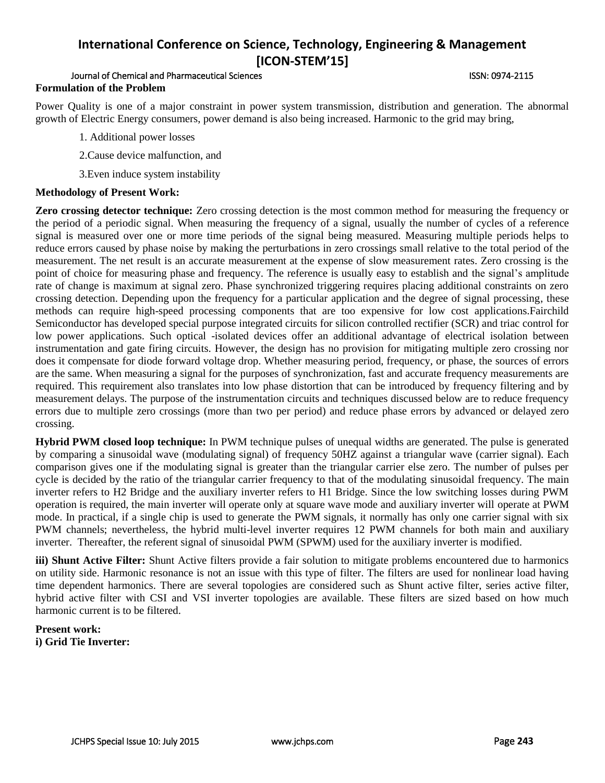## Journal of Chemical and Pharmaceutical Sciences **ISSN: 0974-2115** ISSN: 0974-2115 **Formulation of the Problem**

Power Quality is one of a major constraint in power system transmission, distribution and generation. The abnormal growth of Electric Energy consumers, power demand is also being increased. Harmonic to the grid may bring,

- 1. Additional power losses
- 2.Cause device malfunction, and
- 3.Even induce system instability

## **Methodology of Present Work:**

**Zero crossing detector technique:** Zero crossing detection is the most common method for measuring the frequency or the period of a periodic signal. When measuring the frequency of a signal, usually the number of cycles of a reference signal is measured over one or more time periods of the signal being measured. Measuring multiple periods helps to reduce errors caused by phase noise by making the perturbations in zero crossings small relative to the total period of the measurement. The net result is an accurate measurement at the expense of slow measurement rates. Zero crossing is the point of choice for measuring phase and frequency. The reference is usually easy to establish and the signal's amplitude rate of change is maximum at signal zero. Phase synchronized triggering requires placing additional constraints on zero crossing detection. Depending upon the frequency for a particular application and the degree of signal processing, these methods can require high-speed processing components that are too expensive for low cost applications.Fairchild Semiconductor has developed special purpose integrated circuits for silicon controlled rectifier (SCR) and triac control for low power applications. Such optical -isolated devices offer an additional advantage of electrical isolation between instrumentation and gate firing circuits. However, the design has no provision for mitigating multiple zero crossing nor does it compensate for diode forward voltage drop. Whether measuring period, frequency, or phase, the sources of errors are the same. When measuring a signal for the purposes of synchronization, fast and accurate frequency measurements are required. This requirement also translates into low phase distortion that can be introduced by frequency filtering and by measurement delays. The purpose of the instrumentation circuits and techniques discussed below are to reduce frequency errors due to multiple zero crossings (more than two per period) and reduce phase errors by advanced or delayed zero crossing.

**Hybrid PWM closed loop technique:** In PWM technique pulses of unequal widths are generated. The pulse is generated by comparing a sinusoidal wave (modulating signal) of frequency 50HZ against a triangular wave (carrier signal). Each comparison gives one if the modulating signal is greater than the triangular carrier else zero. The number of pulses per cycle is decided by the ratio of the triangular carrier frequency to that of the modulating sinusoidal frequency. The main inverter refers to H2 Bridge and the auxiliary inverter refers to H1 Bridge. Since the low switching losses during PWM operation is required, the main inverter will operate only at square wave mode and auxiliary inverter will operate at PWM mode. In practical, if a single chip is used to generate the PWM signals, it normally has only one carrier signal with six PWM channels; nevertheless, the hybrid multi-level inverter requires 12 PWM channels for both main and auxiliary inverter. Thereafter, the referent signal of sinusoidal PWM (SPWM) used for the auxiliary inverter is modified.

**iii) Shunt Active Filter:** Shunt Active filters provide a fair solution to mitigate problems encountered due to harmonics on utility side. Harmonic resonance is not an issue with this type of filter. The filters are used for nonlinear load having time dependent harmonics. There are several topologies are considered such as Shunt active filter, series active filter, hybrid active filter with CSI and VSI inverter topologies are available. These filters are sized based on how much harmonic current is to be filtered.

## **Present work: i) Grid Tie Inverter:**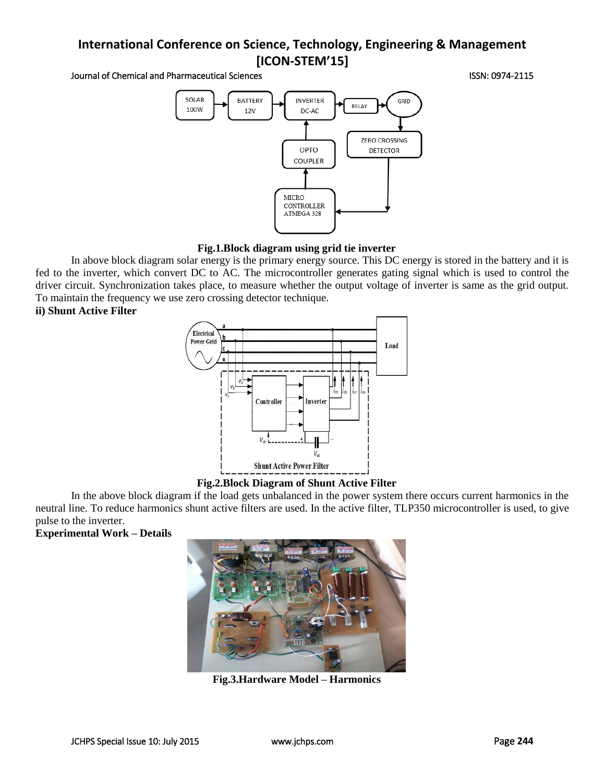Journal of Chemical and Pharmaceutical Sciences **ISSN: 0974-2115** ISSN: 0974-2115



## **Fig.1.Block diagram using grid tie inverter**

In above block diagram solar energy is the primary energy source. This DC energy is stored in the battery and it is fed to the inverter, which convert DC to AC. The microcontroller generates gating signal which is used to control the driver circuit. Synchronization takes place, to measure whether the output voltage of inverter is same as the grid output. To maintain the frequency we use zero crossing detector technique.

## **ii) Shunt Active Filter**



#### **Fig.2.Block Diagram of Shunt Active Filter**

In the above block diagram if the load gets unbalanced in the power system there occurs current harmonics in the neutral line. To reduce harmonics shunt active filters are used. In the active filter, TLP350 microcontroller is used, to give pulse to the inverter.

**Experimental Work – Details**



**Fig.3.Hardware Model – Harmonics**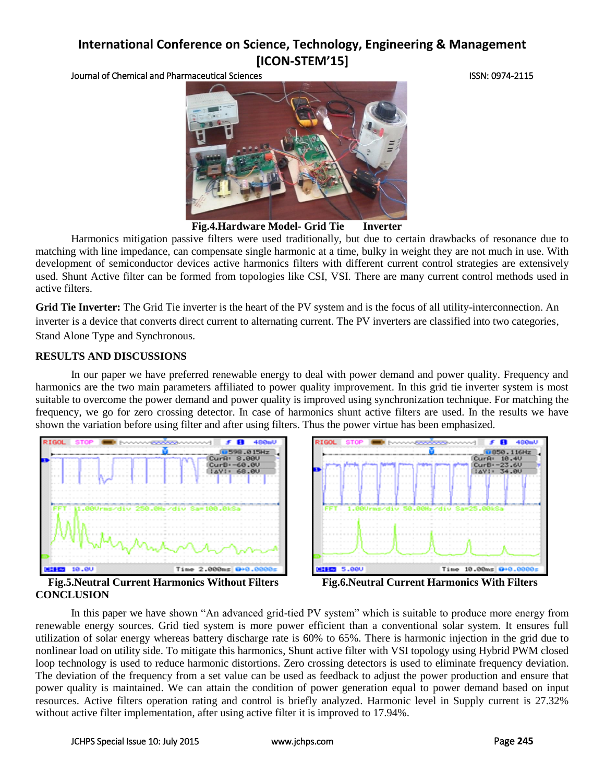Journal of Chemical and Pharmaceutical Sciences ISSN: 0974-2115



**Fig.4.Hardware Model- Grid Tie Inverter**

Harmonics mitigation passive filters were used traditionally, but due to certain drawbacks of resonance due to matching with line impedance, can compensate single harmonic at a time, bulky in weight they are not much in use. With development of semiconductor devices active harmonics filters with different current control strategies are extensively used. Shunt Active filter can be formed from topologies like CSI, VSI. There are many current control methods used in active filters.

**Grid Tie Inverter:** The Grid Tie inverter is the heart of the PV system and is the focus of all utility-interconnection. An inverter is a device that converts direct current to alternating current. The PV inverters are classified into two categories, Stand Alone Type and Synchronous.

## **RESULTS AND DISCUSSIONS**

In our paper we have preferred renewable energy to deal with power demand and power quality. Frequency and harmonics are the two main parameters affiliated to power quality improvement. In this grid tie inverter system is most suitable to overcome the power demand and power quality is improved using synchronization technique. For matching the frequency, we go for zero crossing detector. In case of harmonics shunt active filters are used. In the results we have shown the variation before using filter and after using filters. Thus the power virtue has been emphasized.





**Fig.5.Neutral Current Harmonics Without Filters Fig.6.Neutral Current Harmonics With Filters CONCLUSION**

In this paper we have shown "An advanced grid-tied PV system" which is suitable to produce more energy from renewable energy sources. Grid tied system is more power efficient than a conventional solar system. It ensures full utilization of solar energy whereas battery discharge rate is 60% to 65%. There is harmonic injection in the grid due to nonlinear load on utility side. To mitigate this harmonics, Shunt active filter with VSI topology using Hybrid PWM closed loop technology is used to reduce harmonic distortions. Zero crossing detectors is used to eliminate frequency deviation. The deviation of the frequency from a set value can be used as feedback to adjust the power production and ensure that power quality is maintained. We can attain the condition of power generation equal to power demand based on input resources. Active filters operation rating and control is briefly analyzed. Harmonic level in Supply current is 27.32% without active filter implementation, after using active filter it is improved to 17.94%.